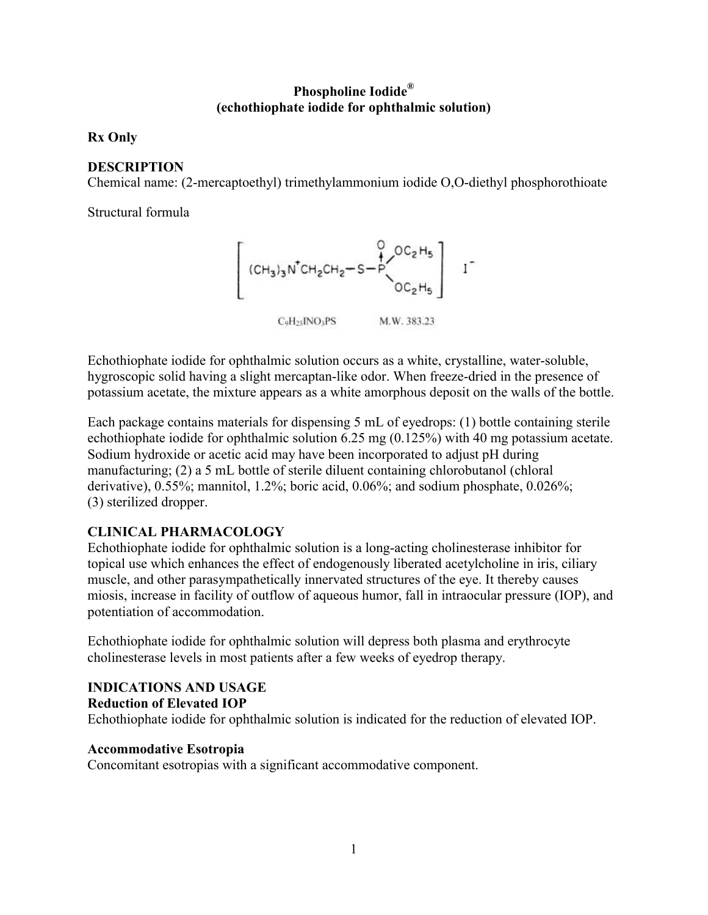## **Phospholine Iodide® (echothiophate iodide for ophthalmic solution)**

## **Rx Only**

## **DESCRIPTION**

Chemical name: (2-mercaptoethyl) trimethylammonium iodide O,O-diethyl phosphorothioate

Structural formula



C<sub>o</sub>H<sub>21</sub>JNO<sub>3</sub>PS M.W. 383.23

Echothiophate iodide for ophthalmic solution occurs as a white, crystalline, water-soluble, hygroscopic solid having a slight mercaptan-like odor. When freeze-dried in the presence of potassium acetate, the mixture appears as a white amorphous deposit on the walls of the bottle.

Each package contains materials for dispensing 5 mL of eyedrops: (1) bottle containing sterile echothiophate iodide for ophthalmic solution 6.25 mg (0.125%) with 40 mg potassium acetate. Sodium hydroxide or acetic acid may have been incorporated to adjust pH during manufacturing; (2) a 5 mL bottle of sterile diluent containing chlorobutanol (chloral derivative), 0.55%; mannitol, 1.2%; boric acid, 0.06%; and sodium phosphate, 0.026%; (3) sterilized dropper.

# **CLINICAL PHARMACOLOGY**

Echothiophate iodide for ophthalmic solution is a long-acting cholinesterase inhibitor for topical use which enhances the effect of endogenously liberated acetylcholine in iris, ciliary muscle, and other parasympathetically innervated structures of the eye. It thereby causes miosis, increase in facility of outflow of aqueous humor, fall in intraocular pressure (IOP), and potentiation of accommodation.

Echothiophate iodide for ophthalmic solution will depress both plasma and erythrocyte cholinesterase levels in most patients after a few weeks of eyedrop therapy.

## **INDICATIONS AND USAGE**

### **Reduction of Elevated IOP**

Echothiophate iodide for ophthalmic solution is indicated for the reduction of elevated IOP.

### **Accommodative Esotropia**

Concomitant esotropias with a significant accommodative component.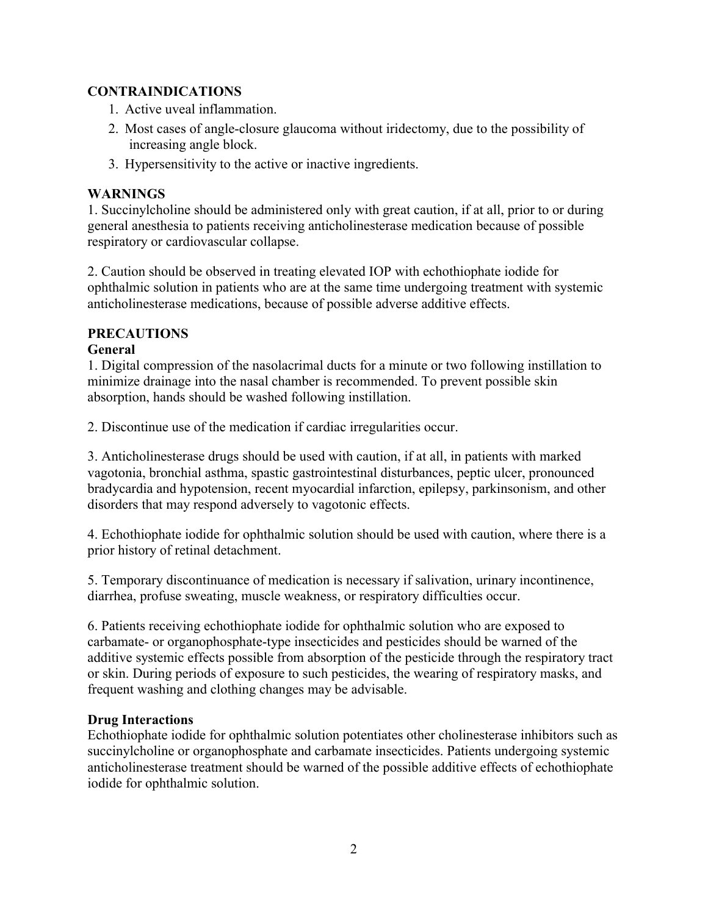## **CONTRAINDICATIONS**

- 1. Active uveal inflammation.
- 2. Most cases of angle-closure glaucoma without iridectomy, due to the possibility of increasing angle block.
- 3. Hypersensitivity to the active or inactive ingredients.

## **WARNINGS**

1. Succinylcholine should be administered only with great caution, if at all, prior to or during general anesthesia to patients receiving anticholinesterase medication because of possible respiratory or cardiovascular collapse.

2. Caution should be observed in treating elevated IOP with echothiophate iodide for ophthalmic solution in patients who are at the same time undergoing treatment with systemic anticholinesterase medications, because of possible adverse additive effects.

## **PRECAUTIONS**

## **General**

1. Digital compression of the nasolacrimal ducts for a minute or two following instillation to minimize drainage into the nasal chamber is recommended. To prevent possible skin absorption, hands should be washed following instillation.

2. Discontinue use of the medication if cardiac irregularities occur.

3. Anticholinesterase drugs should be used with caution, if at all, in patients with marked vagotonia, bronchial asthma, spastic gastrointestinal disturbances, peptic ulcer, pronounced bradycardia and hypotension, recent myocardial infarction, epilepsy, parkinsonism, and other disorders that may respond adversely to vagotonic effects.

4. Echothiophate iodide for ophthalmic solution should be used with caution, where there is a prior history of retinal detachment.

5. Temporary discontinuance of medication is necessary if salivation, urinary incontinence, diarrhea, profuse sweating, muscle weakness, or respiratory difficulties occur.

6. Patients receiving echothiophate iodide for ophthalmic solution who are exposed to carbamate- or organophosphate-type insecticides and pesticides should be warned of the additive systemic effects possible from absorption of the pesticide through the respiratory tract or skin. During periods of exposure to such pesticides, the wearing of respiratory masks, and frequent washing and clothing changes may be advisable.

## **Drug Interactions**

Echothiophate iodide for ophthalmic solution potentiates other cholinesterase inhibitors such as succinylcholine or organophosphate and carbamate insecticides. Patients undergoing systemic anticholinesterase treatment should be warned of the possible additive effects of echothiophate iodide for ophthalmic solution.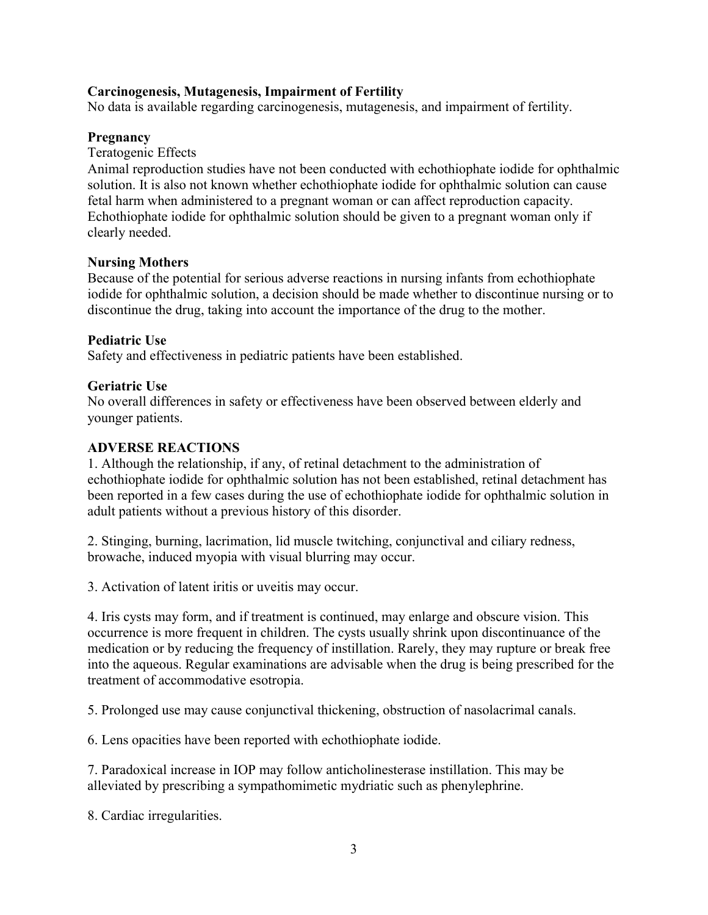#### **Carcinogenesis, Mutagenesis, Impairment of Fertility**

No data is available regarding carcinogenesis, mutagenesis, and impairment of fertility.

#### **Pregnancy**

Teratogenic Effects

Animal reproduction studies have not been conducted with echothiophate iodide for ophthalmic solution. It is also not known whether echothiophate iodide for ophthalmic solution can cause fetal harm when administered to a pregnant woman or can affect reproduction capacity. Echothiophate iodide for ophthalmic solution should be given to a pregnant woman only if clearly needed.

#### **Nursing Mothers**

Because of the potential for serious adverse reactions in nursing infants from echothiophate iodide for ophthalmic solution, a decision should be made whether to discontinue nursing or to discontinue the drug, taking into account the importance of the drug to the mother.

#### **Pediatric Use**

Safety and effectiveness in pediatric patients have been established.

#### **Geriatric Use**

No overall differences in safety or effectiveness have been observed between elderly and younger patients.

#### **ADVERSE REACTIONS**

1. Although the relationship, if any, of retinal detachment to the administration of echothiophate iodide for ophthalmic solution has not been established, retinal detachment has been reported in a few cases during the use of echothiophate iodide for ophthalmic solution in adult patients without a previous history of this disorder.

2. Stinging, burning, lacrimation, lid muscle twitching, conjunctival and ciliary redness, browache, induced myopia with visual blurring may occur.

3. Activation of latent iritis or uveitis may occur.

4. Iris cysts may form, and if treatment is continued, may enlarge and obscure vision. This occurrence is more frequent in children. The cysts usually shrink upon discontinuance of the medication or by reducing the frequency of instillation. Rarely, they may rupture or break free into the aqueous. Regular examinations are advisable when the drug is being prescribed for the treatment of accommodative esotropia.

5. Prolonged use may cause conjunctival thickening, obstruction of nasolacrimal canals.

6. Lens opacities have been reported with echothiophate iodide.

7. Paradoxical increase in IOP may follow anticholinesterase instillation. This may be alleviated by prescribing a sympathomimetic mydriatic such as phenylephrine.

8. Cardiac irregularities.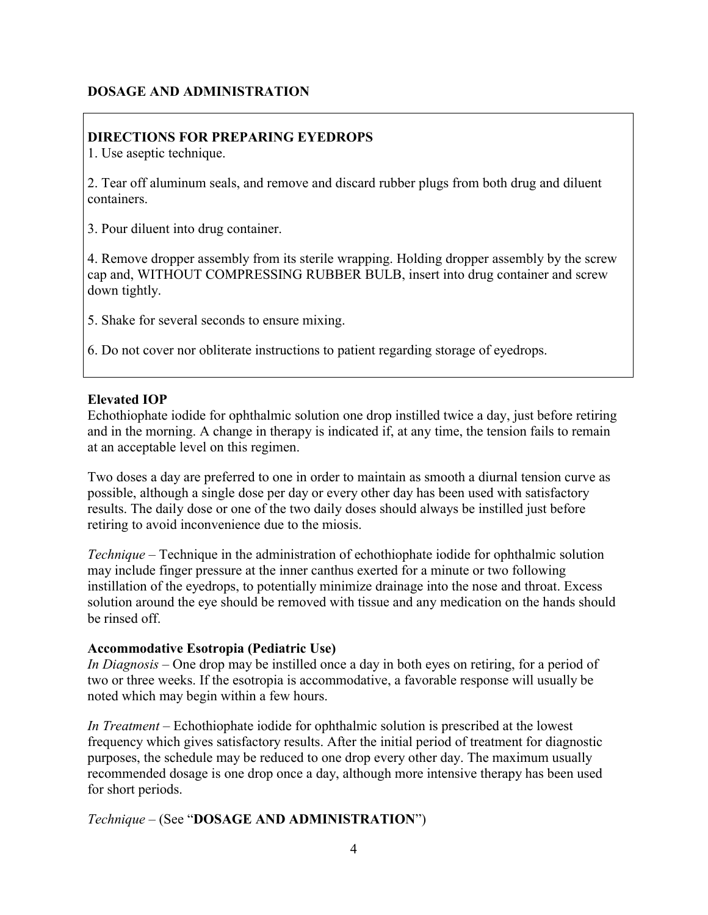### **DOSAGE AND ADMINISTRATION**

## **DIRECTIONS FOR PREPARING EYEDROPS**

1. Use aseptic technique.

2. Tear off aluminum seals, and remove and discard rubber plugs from both drug and diluent containers.

3. Pour diluent into drug container.

4. Remove dropper assembly from its sterile wrapping. Holding dropper assembly by the screw cap and, WITHOUT COMPRESSING RUBBER BULB, insert into drug container and screw down tightly.

5. Shake for several seconds to ensure mixing.

6. Do not cover nor obliterate instructions to patient regarding storage of eyedrops.

#### **Elevated IOP**

Echothiophate iodide for ophthalmic solution one drop instilled twice a day, just before retiring and in the morning. A change in therapy is indicated if, at any time, the tension fails to remain at an acceptable level on this regimen.

Two doses a day are preferred to one in order to maintain as smooth a diurnal tension curve as possible, although a single dose per day or every other day has been used with satisfactory results. The daily dose or one of the two daily doses should always be instilled just before retiring to avoid inconvenience due to the miosis.

*Technique –* Technique in the administration of echothiophate iodide for ophthalmic solution may include finger pressure at the inner canthus exerted for a minute or two following instillation of the eyedrops, to potentially minimize drainage into the nose and throat. Excess solution around the eye should be removed with tissue and any medication on the hands should be rinsed off.

#### **Accommodative Esotropia (Pediatric Use)**

*In Diagnosis –* One drop may be instilled once a day in both eyes on retiring, for a period of two or three weeks. If the esotropia is accommodative, a favorable response will usually be noted which may begin within a few hours.

*In Treatment –* Echothiophate iodide for ophthalmic solution is prescribed at the lowest frequency which gives satisfactory results. After the initial period of treatment for diagnostic purposes, the schedule may be reduced to one drop every other day. The maximum usually recommended dosage is one drop once a day, although more intensive therapy has been used for short periods.

*Technique –* (See "**DOSAGE AND ADMINISTRATION**")